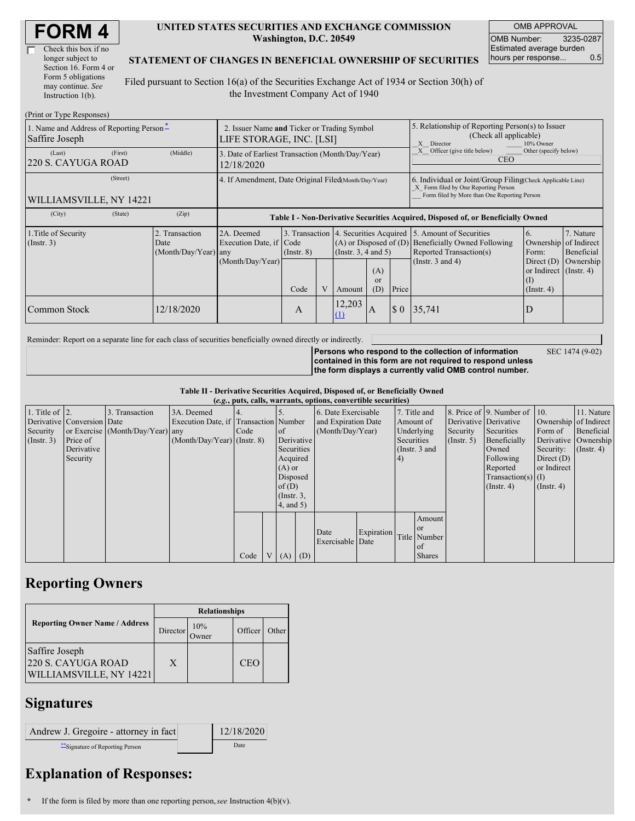| <b>FORM4</b> |
|--------------|
|--------------|

| Check this box if no  |
|-----------------------|
| longer subject to     |
| Section 16. Form 4 or |
| Form 5 obligations    |
| may continue. See     |
| Instruction 1(b).     |

#### **UNITED STATES SECURITIES AND EXCHANGE COMMISSION Washington, D.C. 20549**

OMB APPROVAL OMB Number: 3235-0287 Estimated average burden hours per response... 0.5

### **STATEMENT OF CHANGES IN BENEFICIAL OWNERSHIP OF SECURITIES**

Filed pursuant to Section 16(a) of the Securities Exchange Act of 1934 or Section 30(h) of the Investment Company Act of 1940

| (Print or Type Responses)                                  |                                                                         |                                                |                                                                                  |                 |  |                                                                                             |                                                                                                                                                    |        |                                                                                                                                                          |                                                                         |           |  |
|------------------------------------------------------------|-------------------------------------------------------------------------|------------------------------------------------|----------------------------------------------------------------------------------|-----------------|--|---------------------------------------------------------------------------------------------|----------------------------------------------------------------------------------------------------------------------------------------------------|--------|----------------------------------------------------------------------------------------------------------------------------------------------------------|-------------------------------------------------------------------------|-----------|--|
| 1. Name and Address of Reporting Person*<br>Saffire Joseph | 2. Issuer Name and Ticker or Trading Symbol<br>LIFE STORAGE, INC. [LSI] |                                                |                                                                                  |                 |  |                                                                                             | 5. Relationship of Reporting Person(s) to Issuer<br>(Check all applicable)<br>X Director<br>10% Owner                                              |        |                                                                                                                                                          |                                                                         |           |  |
| (Last)<br>220 S. CAYUGA ROAD                               | (First)                                                                 | (Middle)                                       | 3. Date of Earliest Transaction (Month/Day/Year)<br>12/18/2020                   |                 |  |                                                                                             |                                                                                                                                                    |        | Other (specify below)<br>Officer (give title below)<br><b>CEO</b>                                                                                        |                                                                         |           |  |
| (Street)<br>WILLIAMSVILLE, NY 14221                        | 4. If Amendment, Date Original Filed(Month/Day/Year)                    |                                                |                                                                                  |                 |  |                                                                                             | 6. Individual or Joint/Group Filing Check Applicable Line)<br>X Form filed by One Reporting Person<br>Form filed by More than One Reporting Person |        |                                                                                                                                                          |                                                                         |           |  |
| (City)                                                     | (State)                                                                 | (Zip)                                          | Table I - Non-Derivative Securities Acquired, Disposed of, or Beneficially Owned |                 |  |                                                                                             |                                                                                                                                                    |        |                                                                                                                                                          |                                                                         |           |  |
| 1. Title of Security<br>(Insert. 3)                        |                                                                         | 2. Transaction<br>Date<br>(Month/Day/Year) any | 2A. Deemed<br>Execution Date, if Code                                            | $($ Instr. $8)$ |  | 3. Transaction 4. Securities Acquired<br>$(A)$ or Disposed of $(D)$<br>(Insert. 3, 4 and 5) |                                                                                                                                                    |        | 5. Amount of Securities<br>7. Nature<br>6.<br>Beneficially Owned Following<br>of Indirect<br>Ownership<br>Reported Transaction(s)<br>Form:<br>Beneficial |                                                                         |           |  |
|                                                            |                                                                         |                                                | (Month/Day/Year)                                                                 | Code            |  | Amount                                                                                      | (A)<br>or<br>(D)                                                                                                                                   | Price  | (Instr. $3$ and $4$ )                                                                                                                                    | Direct $(D)$<br>or Indirect $($ Instr. 4 $)$<br>(1)<br>$($ Instr. 4 $)$ | Ownership |  |
| Common Stock                                               |                                                                         | 12/18/2020                                     |                                                                                  | A               |  | 12,203<br>(1)                                                                               | A                                                                                                                                                  | $\S$ 0 | 35,741                                                                                                                                                   |                                                                         |           |  |

Reminder: Report on a separate line for each class of securities beneficially owned directly or indirectly.

SEC 1474 (9-02)

**Persons who respond to the collection of information contained in this form are not required to respond unless the form displays a currently valid OMB control number.**

**Table II - Derivative Securities Acquired, Disposed of, or Beneficially Owned**

| (e.g., puts, calls, warrants, options, convertible securities) |                            |                                  |                                       |      |  |                 |          |                     |            |               |               |                      |                              |                       |                      |
|----------------------------------------------------------------|----------------------------|----------------------------------|---------------------------------------|------|--|-----------------|----------|---------------------|------------|---------------|---------------|----------------------|------------------------------|-----------------------|----------------------|
| 1. Title of $\vert$ 2.                                         |                            | 3. Transaction                   | 3A. Deemed                            |      |  |                 |          | 6. Date Exercisable |            |               | 7. Title and  |                      | 8. Price of 9. Number of 10. |                       | 11. Nature           |
|                                                                | Derivative Conversion Date |                                  | Execution Date, if Transaction Number |      |  |                 |          | and Expiration Date |            | Amount of     |               |                      | Derivative Derivative        | Ownership of Indirect |                      |
| Security                                                       |                            | or Exercise (Month/Day/Year) any |                                       | Code |  | of              |          | (Month/Day/Year)    |            | Underlying    |               | Security             | Securities                   | Form of               | Beneficial           |
| $($ Instr. 3 $)$                                               | Price of                   |                                  | $(Month/Day/Year)$ (Instr. 8)         |      |  | Derivative      |          |                     |            | Securities    |               | $($ Instr. 5)        | Beneficially                 |                       | Derivative Ownership |
|                                                                | Derivative                 |                                  |                                       |      |  | Securities      |          |                     |            | (Instr. 3 and |               |                      | Owned                        | Security:             | $($ Instr. 4)        |
|                                                                | Security                   |                                  |                                       |      |  | Acquired        |          |                     |            | (4)           |               |                      | Following                    | Direct $(D)$          |                      |
|                                                                |                            |                                  |                                       |      |  | $(A)$ or        |          |                     |            |               |               |                      | Reported                     | or Indirect           |                      |
|                                                                |                            |                                  |                                       |      |  |                 | Disposed |                     |            |               |               | $Transaction(s)$ (I) |                              |                       |                      |
|                                                                |                            |                                  |                                       |      |  | of(D)           |          |                     |            |               |               |                      | $($ Instr. 4)                | $($ Instr. 4 $)$      |                      |
|                                                                |                            |                                  |                                       |      |  | $($ Instr. $3,$ |          |                     |            |               |               |                      |                              |                       |                      |
|                                                                |                            |                                  |                                       |      |  | $4$ , and $5$ ) |          |                     |            |               |               |                      |                              |                       |                      |
|                                                                |                            |                                  |                                       |      |  |                 |          |                     |            |               | Amount        |                      |                              |                       |                      |
|                                                                |                            |                                  |                                       |      |  |                 |          | Date                | Expiration |               | <sub>or</sub> |                      |                              |                       |                      |
|                                                                |                            |                                  |                                       |      |  |                 |          | Exercisable Date    |            |               | Title Number  |                      |                              |                       |                      |
|                                                                |                            |                                  |                                       |      |  |                 |          |                     |            |               | of            |                      |                              |                       |                      |
|                                                                |                            |                                  |                                       | Code |  | V(A)            | (D)      |                     |            |               | <b>Shares</b> |                      |                              |                       |                      |

## **Reporting Owners**

|                                                                        | <b>Relationships</b> |                   |            |       |  |  |  |
|------------------------------------------------------------------------|----------------------|-------------------|------------|-------|--|--|--|
| <b>Reporting Owner Name / Address</b>                                  | Director             | 10%<br>-<br>Owner | Officer    | Other |  |  |  |
| Saffire Joseph<br>220 S. CAYUGA ROAD<br><b>WILLIAMSVILLE, NY 14221</b> | X                    |                   | <b>CEO</b> |       |  |  |  |

### **Signatures**

| Andrew J. Gregoire - attorney in fact | 12/18/2020 |
|---------------------------------------|------------|
| Signature of Reporting Person         | Date       |

# **Explanation of Responses:**

**\*** If the form is filed by more than one reporting person,*see* Instruction 4(b)(v).